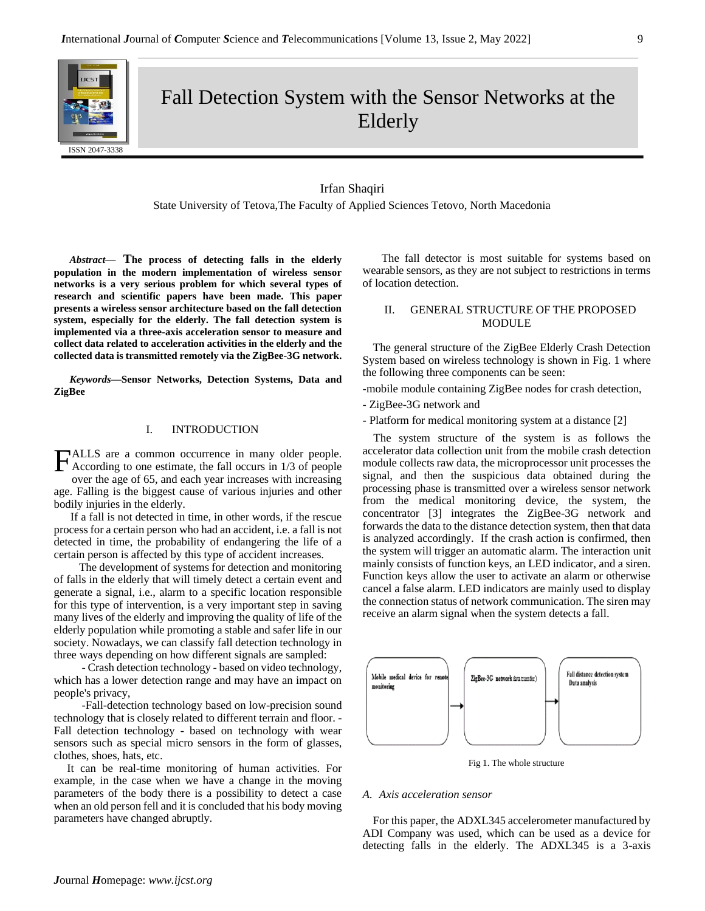

Fall Detection System with the Sensor Networks at the Elderly

## Irfan Shaqiri

State University of Tetova,The Faculty of Applied Sciences Tetovo, North Macedonia

*Abstract***— The process of detecting falls in the elderly population in the modern implementation of wireless sensor networks is a very serious problem for which several types of research and scientific papers have been made. This paper presents a wireless sensor architecture based on the fall detection system, especially for the elderly. The fall detection system is implemented via a three-axis acceleration sensor to measure and collect data related to acceleration activities in the elderly and the collected data is transmitted remotely via the ZigBee-3G network.**

*Keywords—***Sensor Networks, Detection Systems, Data and ZigBee**

# I. INTRODUCTION

ALLS are a common occurrence in many older people. FALLS are a common occurrence in many older people.<br>According to one estimate, the fall occurs in 1/3 of people over the age of 65, and each year increases with increasing age. Falling is the biggest cause of various injuries and other

bodily injuries in the elderly. If a fall is not detected in time, in other words, if the rescue process for a certain person who had an accident, i.e. a fall is not detected in time, the probability of endangering the life of a certain person is affected by this type of accident increases.

 The development of systems for detection and monitoring of falls in the elderly that will timely detect a certain event and generate a signal, i.e., alarm to a specific location responsible for this type of intervention, is a very important step in saving many lives of the elderly and improving the quality of life of the elderly population while promoting a stable and safer life in our society. Nowadays, we can classify fall detection technology in three ways depending on how different signals are sampled:

 - Crash detection technology - based on video technology, which has a lower detection range and may have an impact on people's privacy,

 -Fall-detection technology based on low-precision sound technology that is closely related to different terrain and floor. - Fall detection technology - based on technology with wear sensors such as special micro sensors in the form of glasses, clothes, shoes, hats, etc.

It can be real-time monitoring of human activities. For example, in the case when we have a change in the moving parameters of the body there is a possibility to detect a case when an old person fell and it is concluded that his body moving parameters have changed abruptly.

 The fall detector is most suitable for systems based on wearable sensors, as they are not subject to restrictions in terms of location detection.

## II. GENERAL STRUCTURE OF THE PROPOSED MODULE

The general structure of the ZigBee Elderly Crash Detection System based on wireless technology is shown in Fig. 1 where the following three components can be seen:

-mobile module containing ZigBee nodes for crash detection,

- ZigBee-3G network and

- Platform for medical monitoring system at a distance [2]

The system structure of the system is as follows the accelerator data collection unit from the mobile crash detection module collects raw data, the microprocessor unit processes the signal, and then the suspicious data obtained during the processing phase is transmitted over a wireless sensor network from the medical monitoring device, the system, the concentrator [3] integrates the ZigBee-3G network and forwards the data to the distance detection system, then that data is analyzed accordingly. If the crash action is confirmed, then the system will trigger an automatic alarm. The interaction unit mainly consists of function keys, an LED indicator, and a siren. Function keys allow the user to activate an alarm or otherwise cancel a false alarm. LED indicators are mainly used to display the connection status of network communication. The siren may receive an alarm signal when the system detects a fall.



Fig 1. The whole structure

### *A. Axis acceleration sensor*

For this paper, the ADXL345 accelerometer manufactured by ADI Company was used, which can be used as a device for detecting falls in the elderly. The ADXL345 is a 3-axis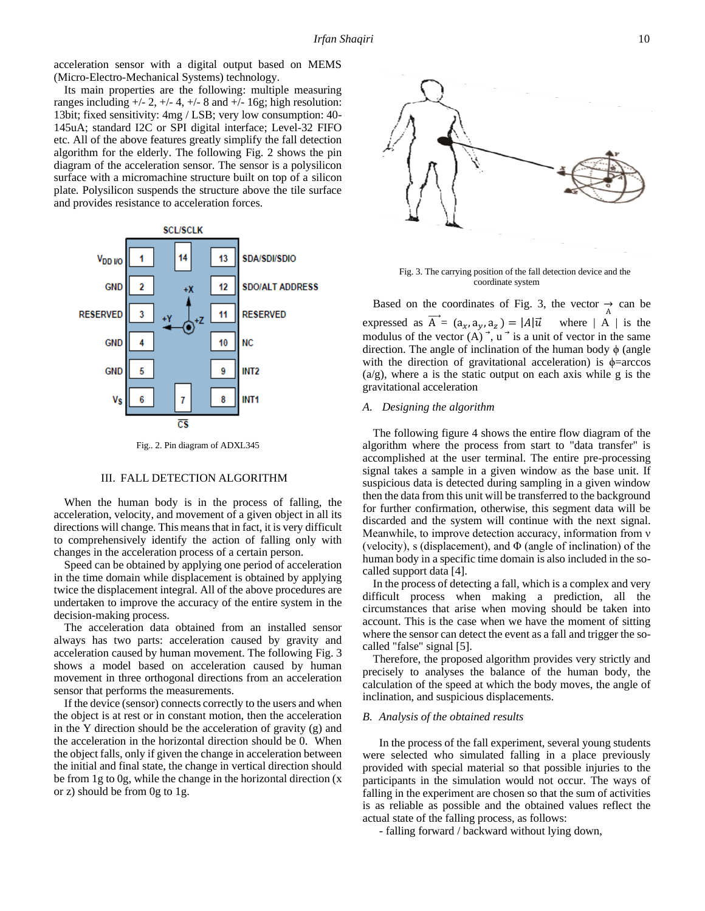acceleration sensor with a digital output based on MEMS (Micro-Electro-Mechanical Systems) technology.

Its main properties are the following: multiple measuring ranges including  $+/- 2$ ,  $+/- 4$ ,  $+/- 8$  and  $+/- 16$ g; high resolution: 13bit; fixed sensitivity: 4mg / LSB; very low consumption: 40- 145uA; standard I2C or SPI digital interface; Level-32 FIFO etc. All of the above features greatly simplify the fall detection algorithm for the elderly. The following Fig. 2 shows the pin diagram of the acceleration sensor. The sensor is a polysilicon surface with a micromachine structure built on top of a silicon plate. Polysilicon suspends the structure above the tile surface and provides resistance to acceleration forces.



Fig.. 2. Pin diagram of ADXL345

#### III. FALL DETECTION ALGORITHM

When the human body is in the process of falling, the acceleration, velocity, and movement of a given object in all its directions will change. This means that in fact, it is very difficult to comprehensively identify the action of falling only with changes in the acceleration process of a certain person.

Speed can be obtained by applying one period of acceleration in the time domain while displacement is obtained by applying twice the displacement integral. All of the above procedures are undertaken to improve the accuracy of the entire system in the decision-making process.

The acceleration data obtained from an installed sensor always has two parts: acceleration caused by gravity and acceleration caused by human movement. The following Fig. 3 shows a model based on acceleration caused by human movement in three orthogonal directions from an acceleration sensor that performs the measurements.

If the device (sensor) connects correctly to the users and when the object is at rest or in constant motion, then the acceleration in the Y direction should be the acceleration of gravity  $(g)$  and the acceleration in the horizontal direction should be 0. When the object falls, only if given the change in acceleration between the initial and final state, the change in vertical direction should be from 1g to 0g, while the change in the horizontal direction (x or z) should be from 0g to 1g.



Fig. 3. The carrying position of the fall detection device and the coordinate system

Based on the coordinates of Fig. 3, the vector  $\rightarrow \atop{A}$  can be expressed as  $\overrightarrow{A} = (a_x, a_y, a_z) = |A| \overrightarrow{u}$  where | A | is the modulus of the vector  $(A)$ ,  $\vec{u}$  is a unit of vector in the same direction. The angle of inclination of the human body  $\phi$  (angle with the direction of gravitational acceleration) is  $\phi$ =arccos  $(a/g)$ , where a is the static output on each axis while g is the gravitational acceleration

### *A. Designing the algorithm*

The following figure 4 shows the entire flow diagram of the algorithm where the process from start to "data transfer" is accomplished at the user terminal. The entire pre-processing signal takes a sample in a given window as the base unit. If suspicious data is detected during sampling in a given window then the data from this unit will be transferred to the background for further confirmation, otherwise, this segment data will be discarded and the system will continue with the next signal. Meanwhile, to improve detection accuracy, information from ν (velocity), s (displacement), and  $\Phi$  (angle of inclination) of the human body in a specific time domain is also included in the socalled support data [4].

In the process of detecting a fall, which is a complex and very difficult process when making a prediction, all the circumstances that arise when moving should be taken into account. This is the case when we have the moment of sitting where the sensor can detect the event as a fall and trigger the socalled "false" signal [5].

Therefore, the proposed algorithm provides very strictly and precisely to analyses the balance of the human body, the calculation of the speed at which the body moves, the angle of inclination, and suspicious displacements.

#### *B. Analysis of the obtained results*

In the process of the fall experiment, several young students were selected who simulated falling in a place previously provided with special material so that possible injuries to the participants in the simulation would not occur. The ways of falling in the experiment are chosen so that the sum of activities is as reliable as possible and the obtained values reflect the actual state of the falling process, as follows:

- falling forward / backward without lying down,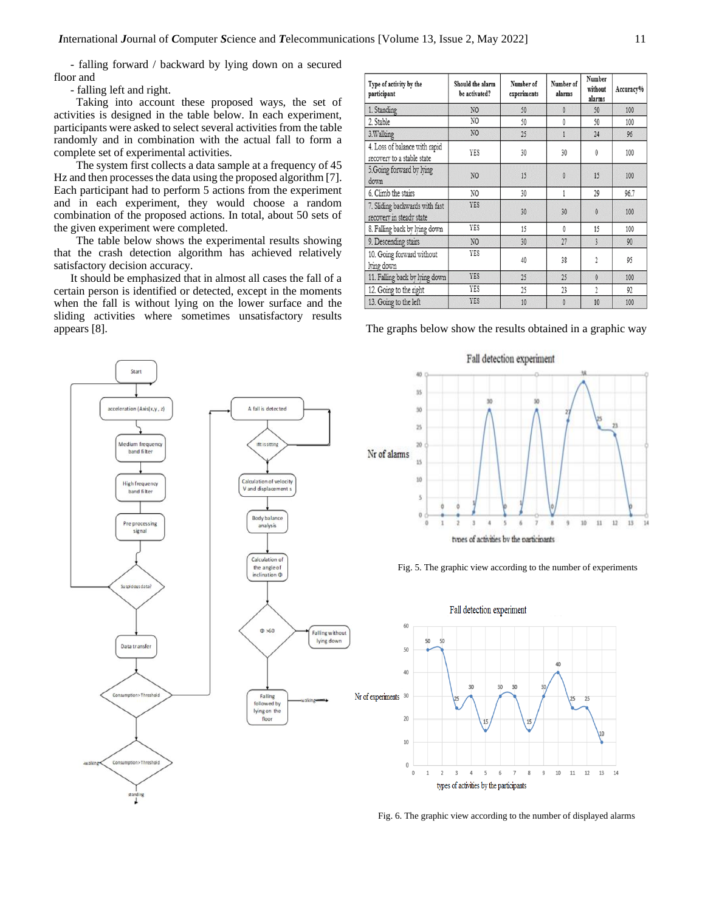- falling forward / backward by lying down on a secured floor and

- falling left and right.

 Taking into account these proposed ways, the set of activities is designed in the table below. In each experiment, participants were asked to select several activities from the table randomly and in combination with the actual fall to form a complete set of experimental activities.

 The system first collects a data sample at a frequency of 45 Hz and then processes the data using the proposed algorithm [7]. Each participant had to perform 5 actions from the experiment and in each experiment, they would choose a random combination of the proposed actions. In total, about 50 sets of the given experiment were completed.

 The table below shows the experimental results showing that the crash detection algorithm has achieved relatively satisfactory decision accuracy.

It should be emphasized that in almost all cases the fall of a certain person is identified or detected, except in the moments when the fall is without lying on the lower surface and the sliding activities where sometimes unsatisfactory results appears [8]. The graphs below show the results obtained in a graphic way

| Type of activity by the<br>participant                      | Should the alarm<br>be activated? | Number of<br>experiments | Number of<br>alarms | Number<br>without<br>alarms | Accuracy% |
|-------------------------------------------------------------|-----------------------------------|--------------------------|---------------------|-----------------------------|-----------|
| 1. Standing                                                 | N <sub>O</sub>                    | 50                       | $\theta$            | 50                          | 100       |
| 2. Stable                                                   | NO.                               | 50                       | 0                   | 50                          | 100       |
| 3. Walking                                                  | N <sub>O</sub>                    | 25                       |                     | 24                          | 96        |
| 4. Loss of balance with rapid<br>recovery to a stable state | YES                               | 30                       | 30                  | 0                           | 100       |
| 5. Going forward by lying<br>down                           | N <sub>O</sub>                    | 15                       | $\theta$            | 15                          | 100       |
| 6. Climb the stairs                                         | NO.                               | 30                       | 1                   | 29                          | 96.7      |
| 7. Sliding backwards with fast<br>recovery in steady state  | <b>YES</b>                        | 30                       | 30                  | $\theta$                    | 100       |
| 8. Falling back by lying down                               | YES                               | 15                       | $\theta$            | 15                          | 100       |
| 9. Descending stairs                                        | N <sub>O</sub>                    | 30                       | 27                  | 3                           | 90        |
| 10. Going forward without<br>lying down                     | YES                               | 40                       | 38                  | 2                           | 95        |
| 11. Falling back by lying down                              | <b>YES</b>                        | 25                       | 25                  | $\theta$                    | 100       |
| 12. Going to the right                                      | YES                               | 25                       | 23                  | $\mathfrak{A}$              | 92        |
| 13. Going to the left                                       | <b>YES</b>                        | 10                       | $\theta$            | 10                          | 100       |



Fig. 6. The graphic view according to the number of displayed alarms